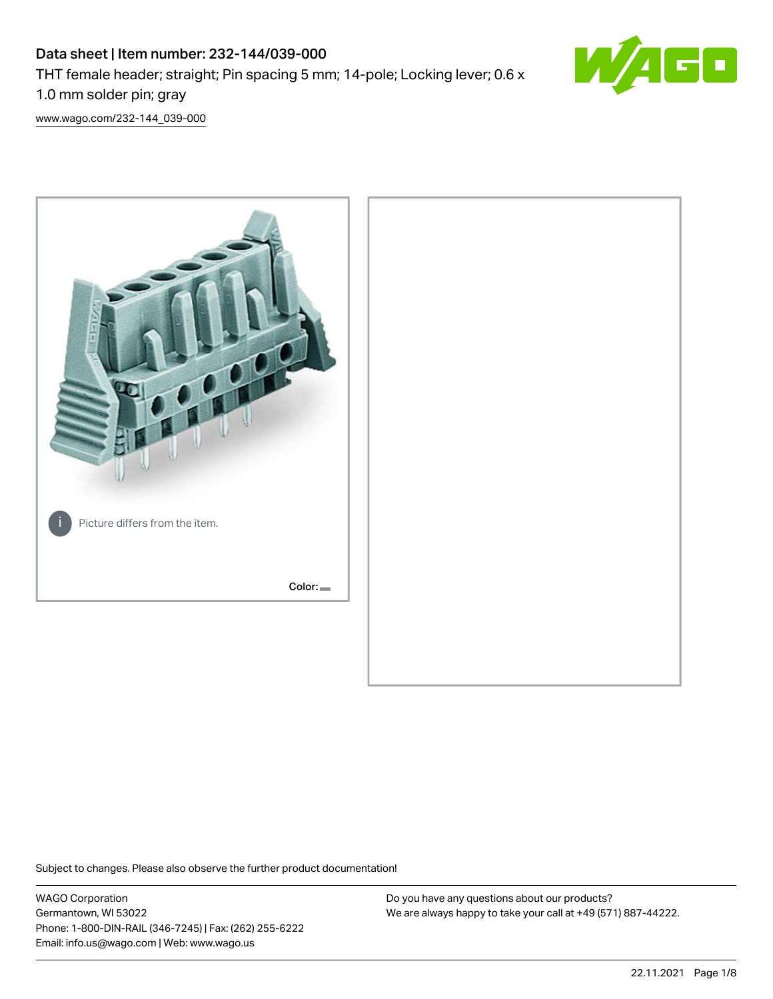# Data sheet | Item number: 232-144/039-000 THT female header; straight; Pin spacing 5 mm; 14-pole; Locking lever; 0.6 x 1.0 mm solder pin; gray



[www.wago.com/232-144\\_039-000](http://www.wago.com/232-144_039-000)



Subject to changes. Please also observe the further product documentation!

WAGO Corporation Germantown, WI 53022 Phone: 1-800-DIN-RAIL (346-7245) | Fax: (262) 255-6222 Email: info.us@wago.com | Web: www.wago.us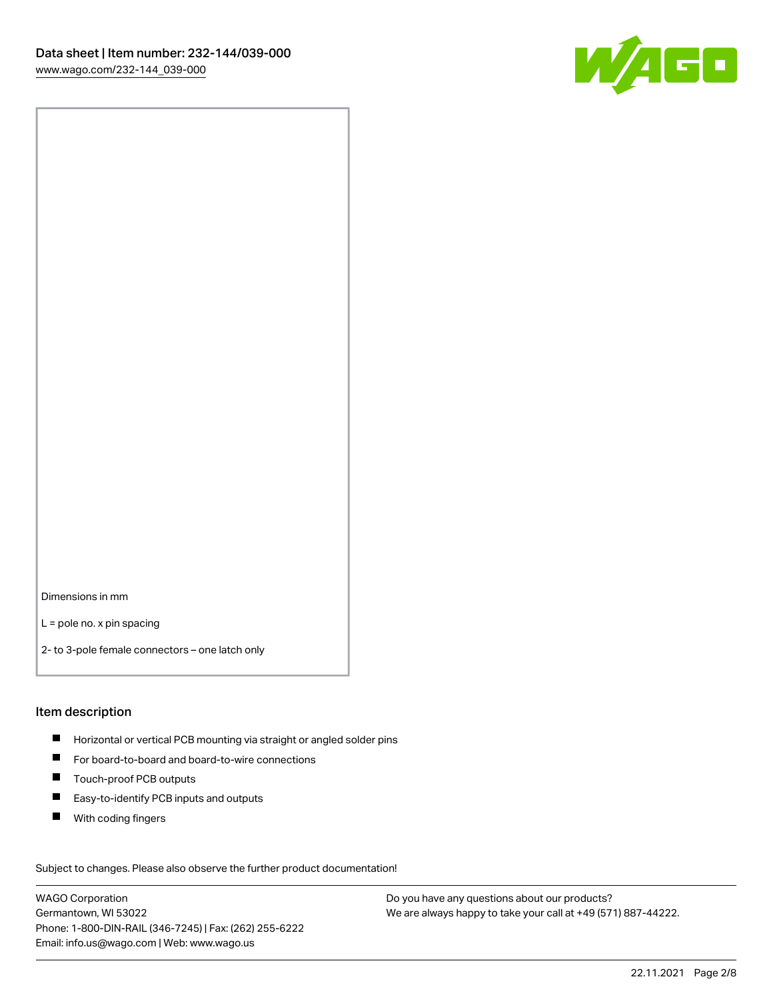

Dimensions in mm

L = pole no. x pin spacing

2- to 3-pole female connectors – one latch only

#### Item description

- **Horizontal or vertical PCB mounting via straight or angled solder pins**
- For board-to-board and board-to-wire connections
- Touch-proof PCB outputs  $\blacksquare$
- $\blacksquare$ Easy-to-identify PCB inputs and outputs
- $\blacksquare$ With coding fingers

Subject to changes. Please also observe the further product documentation! Data

WAGO Corporation Germantown, WI 53022 Phone: 1-800-DIN-RAIL (346-7245) | Fax: (262) 255-6222 Email: info.us@wago.com | Web: www.wago.us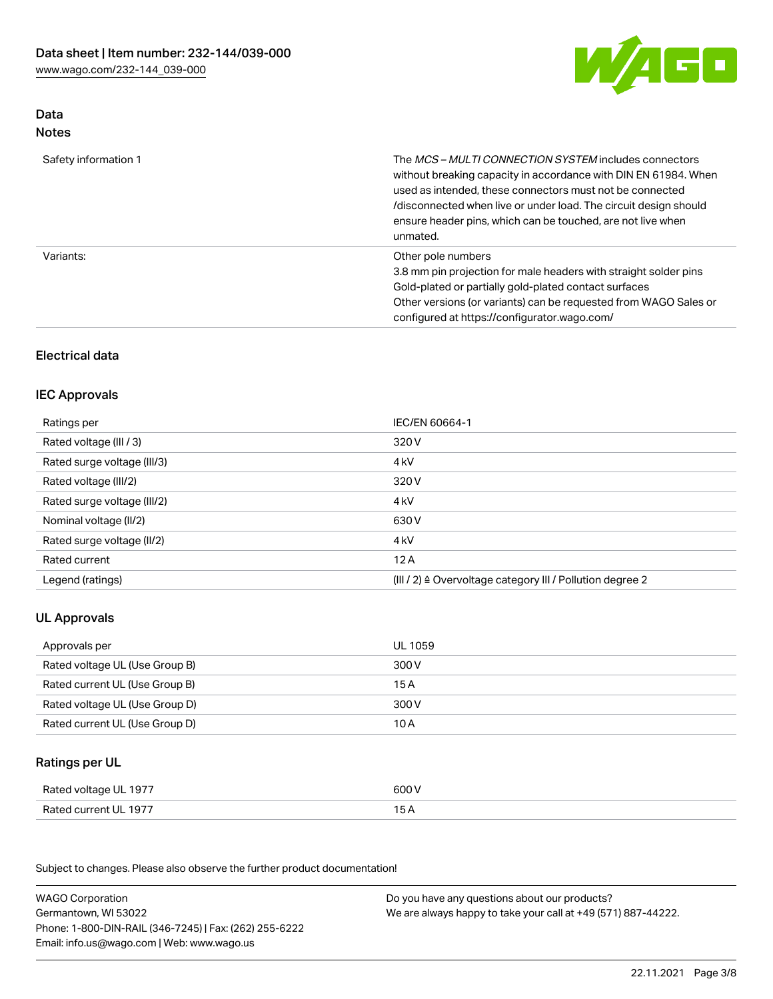

# Data Notes

| Safety information 1 | The <i>MCS - MULTI CONNECTION SYSTEM</i> includes connectors<br>without breaking capacity in accordance with DIN EN 61984. When<br>used as intended, these connectors must not be connected<br>/disconnected when live or under load. The circuit design should<br>ensure header pins, which can be touched, are not live when<br>unmated. |
|----------------------|--------------------------------------------------------------------------------------------------------------------------------------------------------------------------------------------------------------------------------------------------------------------------------------------------------------------------------------------|
| Variants:            | Other pole numbers<br>3.8 mm pin projection for male headers with straight solder pins<br>Gold-plated or partially gold-plated contact surfaces<br>Other versions (or variants) can be requested from WAGO Sales or<br>configured at https://configurator.wago.com/                                                                        |

# Electrical data

### IEC Approvals

| Ratings per                 | IEC/EN 60664-1                                                        |
|-----------------------------|-----------------------------------------------------------------------|
| Rated voltage (III / 3)     | 320 V                                                                 |
| Rated surge voltage (III/3) | 4 <sub>k</sub> V                                                      |
| Rated voltage (III/2)       | 320 V                                                                 |
| Rated surge voltage (III/2) | 4 <sub>k</sub> V                                                      |
| Nominal voltage (II/2)      | 630 V                                                                 |
| Rated surge voltage (II/2)  | 4 <sub>k</sub> V                                                      |
| Rated current               | 12A                                                                   |
| Legend (ratings)            | $(III / 2)$ $\triangle$ Overvoltage category III / Pollution degree 2 |

# UL Approvals

| Approvals per                  | UL 1059 |
|--------------------------------|---------|
| Rated voltage UL (Use Group B) | 300 V   |
| Rated current UL (Use Group B) | 15 A    |
| Rated voltage UL (Use Group D) | 300 V   |
| Rated current UL (Use Group D) | 10 A    |

# Ratings per UL

| Rated voltage UL 1977 | 600 V |
|-----------------------|-------|
| Rated current UL 1977 |       |

Subject to changes. Please also observe the further product documentation!

| <b>WAGO Corporation</b>                                | Do you have any questions about our products?                 |
|--------------------------------------------------------|---------------------------------------------------------------|
| Germantown, WI 53022                                   | We are always happy to take your call at +49 (571) 887-44222. |
| Phone: 1-800-DIN-RAIL (346-7245)   Fax: (262) 255-6222 |                                                               |
| Email: info.us@wago.com   Web: www.wago.us             |                                                               |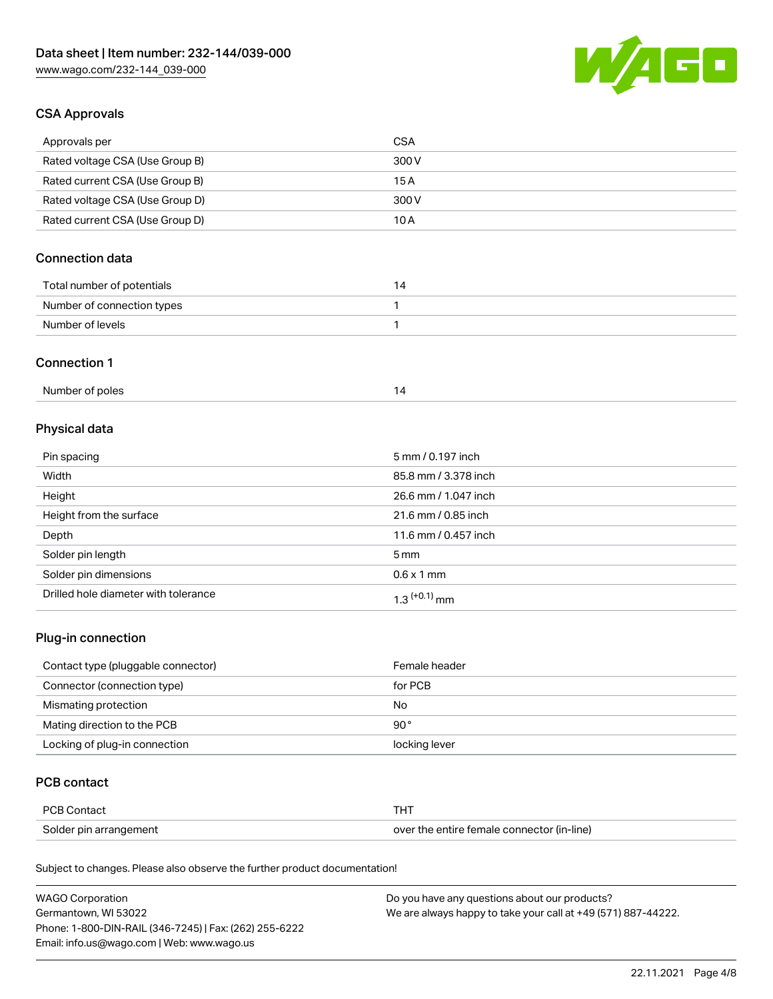

## CSA Approvals

| Approvals per                   | <b>CSA</b> |
|---------------------------------|------------|
| Rated voltage CSA (Use Group B) | 300 V      |
| Rated current CSA (Use Group B) | 15 A       |
| Rated voltage CSA (Use Group D) | 300 V      |
| Rated current CSA (Use Group D) | 10 A       |

# Connection data

| Total number of potentials | 14 |
|----------------------------|----|
| Number of connection types |    |
| Number of levels           |    |

#### Connection 1

# Physical data

| Pin spacing                          | 5 mm / 0.197 inch    |
|--------------------------------------|----------------------|
| Width                                | 85.8 mm / 3.378 inch |
| Height                               | 26.6 mm / 1.047 inch |
| Height from the surface              | 21.6 mm / 0.85 inch  |
| Depth                                | 11.6 mm / 0.457 inch |
| Solder pin length                    | $5 \,\mathrm{mm}$    |
| Solder pin dimensions                | $0.6 \times 1$ mm    |
| Drilled hole diameter with tolerance | $1.3$ $(+0.1)$ mm    |

# Plug-in connection

| Contact type (pluggable connector) | Female header |
|------------------------------------|---------------|
| Connector (connection type)        | for PCB       |
| Mismating protection               | No            |
| Mating direction to the PCB        | 90 $^{\circ}$ |
| Locking of plug-in connection      | locking lever |

## PCB contact

| PCB Contact            | THT                                        |
|------------------------|--------------------------------------------|
| Solder pin arrangement | over the entire female connector (in-line) |

Subject to changes. Please also observe the further product documentation!

| <b>WAGO Corporation</b>                                | Do you have any questions about our products?                 |
|--------------------------------------------------------|---------------------------------------------------------------|
| Germantown, WI 53022                                   | We are always happy to take your call at +49 (571) 887-44222. |
| Phone: 1-800-DIN-RAIL (346-7245)   Fax: (262) 255-6222 |                                                               |
| Email: info.us@wago.com   Web: www.wago.us             |                                                               |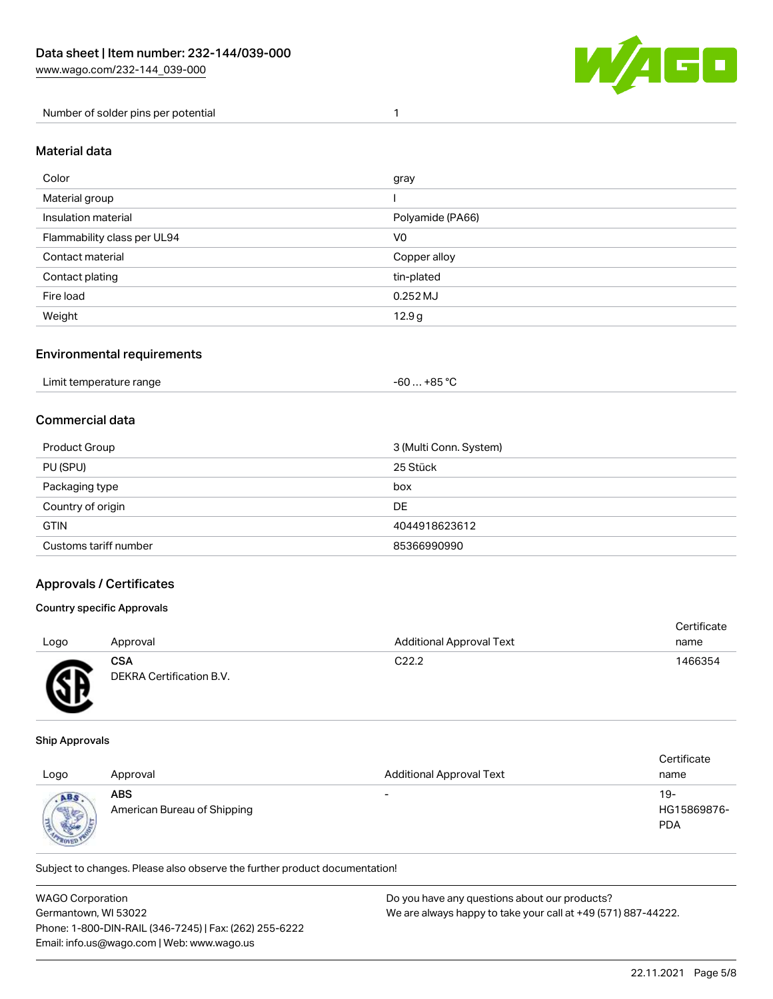

Number of solder pins per potential 1

#### Material data

| Color                       | gray             |
|-----------------------------|------------------|
| Material group              |                  |
| Insulation material         | Polyamide (PA66) |
| Flammability class per UL94 | V <sub>0</sub>   |
| Contact material            | Copper alloy     |
| Contact plating             | tin-plated       |
| Fire load                   | $0.252$ MJ       |
| Weight                      | 12.9g            |

#### Environmental requirements

## Commercial data

| Product Group         | 3 (Multi Conn. System) |
|-----------------------|------------------------|
| PU (SPU)              | 25 Stück               |
| Packaging type        | box                    |
| Country of origin     | <b>DE</b>              |
| <b>GTIN</b>           | 4044918623612          |
| Customs tariff number | 85366990990            |

### Approvals / Certificates

#### Country specific Approvals

| Logo     | Approval                               | <b>Additional Approval Text</b> | Certificate<br>name |
|----------|----------------------------------------|---------------------------------|---------------------|
| <b>R</b> | <b>CSA</b><br>DEKRA Certification B.V. | C <sub>22.2</sub>               | 1466354             |

#### Ship Approvals

൰

| Logo                        | Approval                                  | <b>Additional Approval Text</b> | Certificate<br>name              |
|-----------------------------|-------------------------------------------|---------------------------------|----------------------------------|
| ABS<br><b>Sight</b><br>ROAK | <b>ABS</b><br>American Bureau of Shipping | $\overline{\phantom{0}}$        | 19-<br>HG15869876-<br><b>PDA</b> |

Subject to changes. Please also observe the further product documentation!

| <b>WAGO Corporation</b>                                | Do you have any questions about our products?                 |
|--------------------------------------------------------|---------------------------------------------------------------|
| Germantown, WI 53022                                   | We are always happy to take your call at +49 (571) 887-44222. |
| Phone: 1-800-DIN-RAIL (346-7245)   Fax: (262) 255-6222 |                                                               |
| Email: info.us@wago.com   Web: www.wago.us             |                                                               |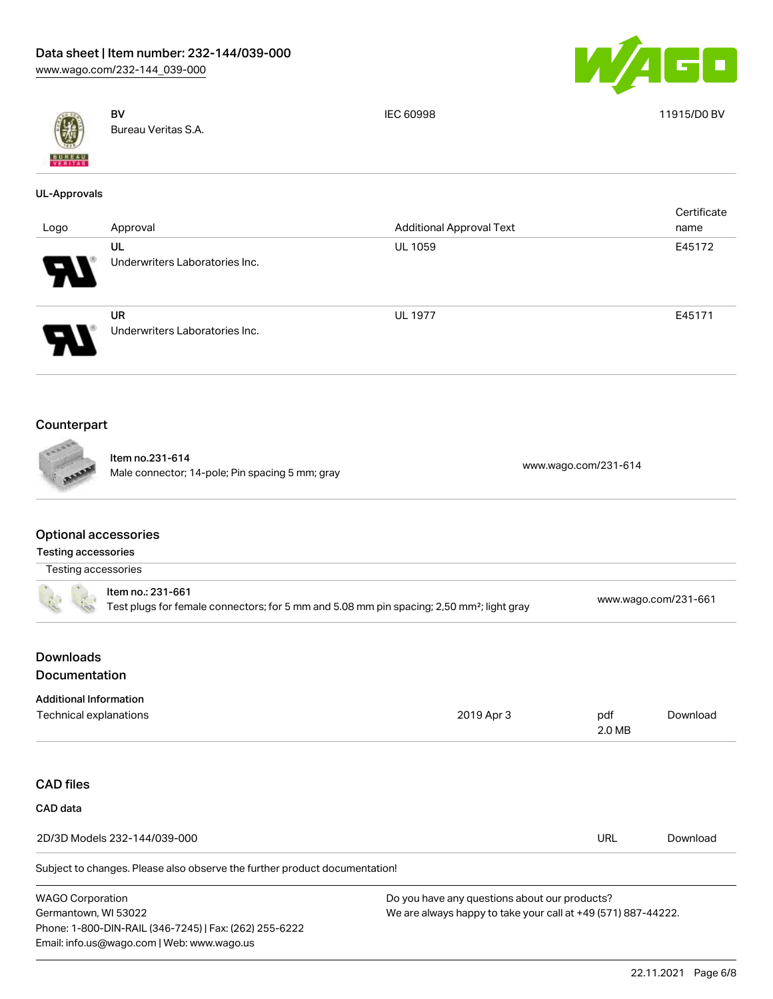



UL-Approvals

UL

UR

BV Bureau Veritas S.A.

IEC 60998 11915/D0 BV

**Certificate** name

 $\blacksquare$ 

Underwriters Laboratories Inc.

Underwriters Laboratories Inc.

Logo Approval Approval Approval Approval Approval Text

### Counterpart

Item no.231-614 nem 10.251-014<br>Male connector; 14-pole; Pin spacing 5 mm; gray [www.wago.com/231-614](https://www.wago.com/231-614)

UL 1059 E45172

UL 1977 **E45171** 

# Optional accessories

#### Testing accessories

| Testing accessories                                                                                                        |                                               |                      |          |  |
|----------------------------------------------------------------------------------------------------------------------------|-----------------------------------------------|----------------------|----------|--|
| Item no.: 231-661<br>Test plugs for female connectors; for 5 mm and 5.08 mm pin spacing; 2,50 mm <sup>2</sup> ; light gray |                                               | www.wago.com/231-661 |          |  |
| <b>Downloads</b>                                                                                                           |                                               |                      |          |  |
| <b>Documentation</b>                                                                                                       |                                               |                      |          |  |
| <b>Additional Information</b>                                                                                              |                                               |                      |          |  |
| Technical explanations                                                                                                     | 2019 Apr 3                                    | pdf<br>2.0 MB        | Download |  |
| <b>CAD files</b>                                                                                                           |                                               |                      |          |  |
| CAD data                                                                                                                   |                                               |                      |          |  |
| 2D/3D Models 232-144/039-000                                                                                               |                                               | <b>URL</b>           | Download |  |
| Subject to changes. Please also observe the further product documentation!                                                 |                                               |                      |          |  |
| <b>WAGO Corporation</b>                                                                                                    | Do you have any questions about our products? |                      |          |  |

Germantown, WI 53022 Phone: 1-800-DIN-RAIL (346-7245) | Fax: (262) 255-6222 Email: info.us@wago.com | Web: www.wago.us

We are always happy to take your call at +49 (571) 887-44222.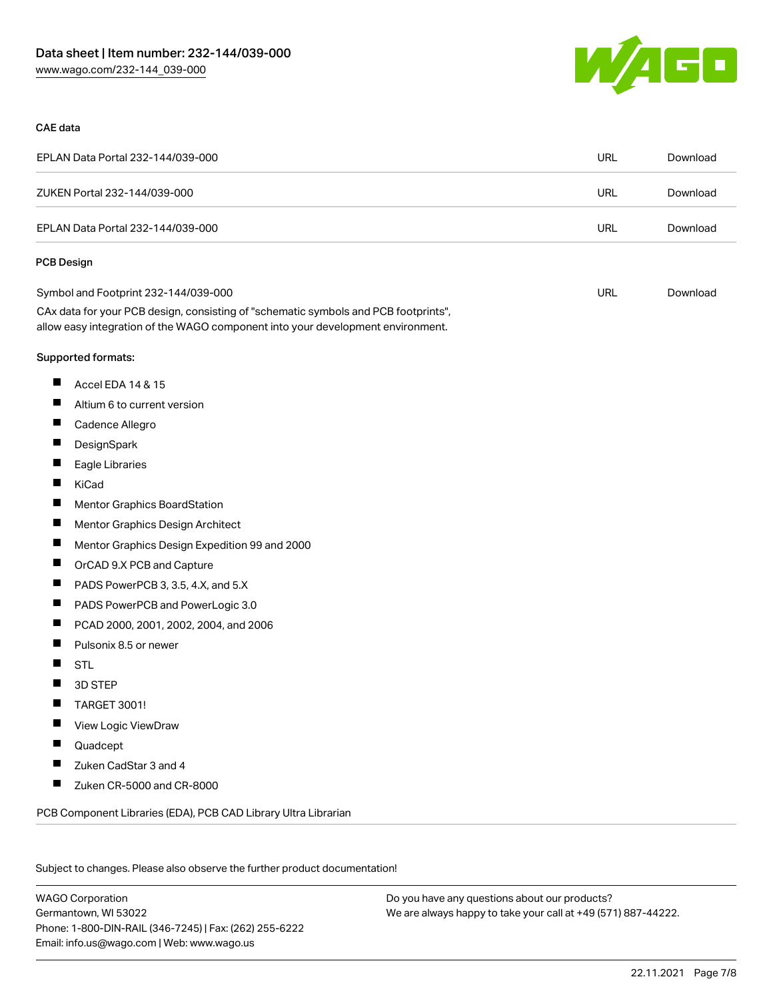

#### CAE data

| EPLAN Data Portal 232-144/039-000                                                                                                                                      | <b>URL</b> | Download |
|------------------------------------------------------------------------------------------------------------------------------------------------------------------------|------------|----------|
| ZUKEN Portal 232-144/039-000                                                                                                                                           | URL        | Download |
| EPLAN Data Portal 232-144/039-000                                                                                                                                      | <b>URL</b> | Download |
| <b>PCB Design</b>                                                                                                                                                      |            |          |
| Symbol and Footprint 232-144/039-000                                                                                                                                   | URL        | Download |
| CAx data for your PCB design, consisting of "schematic symbols and PCB footprints",<br>allow easy integration of the WAGO component into your development environment. |            |          |
| Supported formats:                                                                                                                                                     |            |          |
| ш<br>Accel EDA 14 & 15                                                                                                                                                 |            |          |
| ш<br>Altium 6 to current version                                                                                                                                       |            |          |
| ш<br>Cadence Allegro                                                                                                                                                   |            |          |
| ш<br>DesignSpark                                                                                                                                                       |            |          |
| Ш<br>Eagle Libraries                                                                                                                                                   |            |          |
| П<br>KiCad                                                                                                                                                             |            |          |
| Ш<br>Mentor Graphics BoardStation                                                                                                                                      |            |          |
| Щ<br>Mentor Graphics Design Architect                                                                                                                                  |            |          |
| Ш<br>Mentor Graphics Design Expedition 99 and 2000                                                                                                                     |            |          |
| ш<br>OrCAD 9.X PCB and Capture                                                                                                                                         |            |          |
| Ш<br>PADS PowerPCB 3, 3.5, 4.X, and 5.X                                                                                                                                |            |          |
| ш<br>PADS PowerPCB and PowerLogic 3.0                                                                                                                                  |            |          |
| ш<br>PCAD 2000, 2001, 2002, 2004, and 2006                                                                                                                             |            |          |
| Ш<br>Pulsonix 8.5 or newer                                                                                                                                             |            |          |
| <b>STL</b>                                                                                                                                                             |            |          |
| 3D STEP                                                                                                                                                                |            |          |
| H<br>TARGET 3001!                                                                                                                                                      |            |          |
| View Logic ViewDraw                                                                                                                                                    |            |          |
| Quadcept                                                                                                                                                               |            |          |
| Zuken CadStar 3 and 4                                                                                                                                                  |            |          |
| Zuken CR-5000 and CR-8000                                                                                                                                              |            |          |
| PCB Component Libraries (EDA), PCB CAD Library Ultra Librarian                                                                                                         |            |          |

Subject to changes. Please also observe the further product documentation!

WAGO Corporation Germantown, WI 53022 Phone: 1-800-DIN-RAIL (346-7245) | Fax: (262) 255-6222 Email: info.us@wago.com | Web: www.wago.us